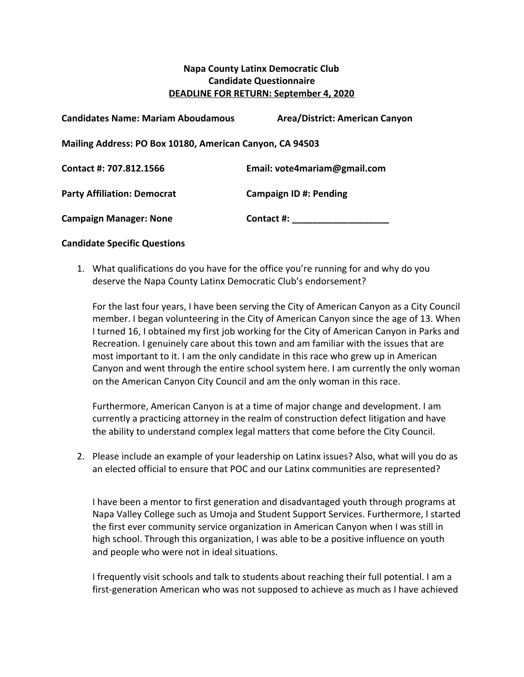## **Napa County Latinx Democratic Club Candidate Questionnaire DEADLINE FOR RETURN: September 4, 2020**

| <b>Candidates Name: Mariam Aboudamous</b>                | <b>Area/District: American Canyon</b> |
|----------------------------------------------------------|---------------------------------------|
| Mailing Address: PO Box 10180, American Canyon, CA 94503 |                                       |
| Contact #: 707.812.1566                                  | Email: vote4mariam@gmail.com          |
| <b>Party Affiliation: Democrat</b>                       | <b>Campaign ID #: Pending</b>         |
| <b>Campaign Manager: None</b>                            | Contact #:                            |

## **Candidate Specific Questions**

1. What qualifications do you have for the office you're running for and why do you deserve the Napa County Latinx Democratic Club's endorsement?

For the last four years, I have been serving the City of American Canyon as a City Council member. I began volunteering in the City of American Canyon since the age of 13. When I turned 16, I obtained my first job working for the City of American Canyon in Parks and Recreation. I genuinely care about this town and am familiar with the issues that are most important to it. I am the only candidate in this race who grew up in American Canyon and went through the entire school system here. I am currently the only woman on the American Canyon City Council and am the only woman in this race.

Furthermore, American Canyon is at a time of major change and development. I am currently a practicing attorney in the realm of construction defect litigation and have the ability to understand complex legal matters that come before the City Council.

2. Please include an example of your leadership on Latinx issues? Also, what will you do as an elected official to ensure that POC and our Latinx communities are represented?

I have been a mentor to first generation and disadvantaged youth through programs at Napa Valley College such as Umoja and Student Support Services. Furthermore, I started the first ever community service organization in American Canyon when I was still in high school. Through this organization, I was able to be a positive influence on youth and people who were not in ideal situations.

I frequently visit schools and talk to students about reaching their full potential. I am a first-generation American who was not supposed to achieve as much as I have achieved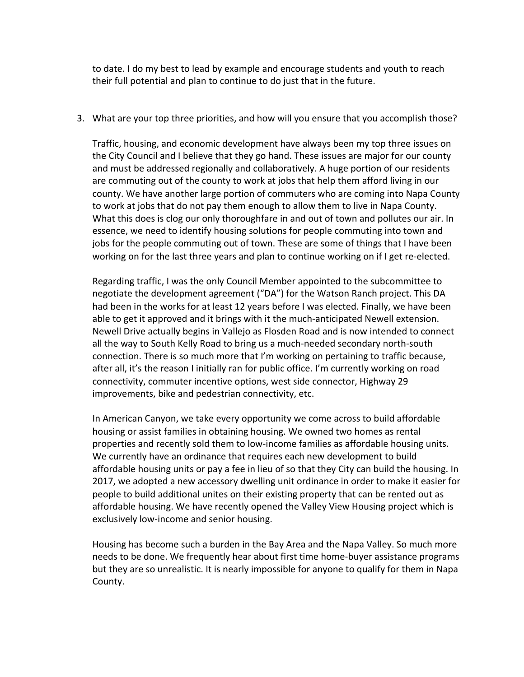to date. I do my best to lead by example and encourage students and youth to reach their full potential and plan to continue to do just that in the future.

3. What are your top three priorities, and how will you ensure that you accomplish those?

Traffic, housing, and economic development have always been my top three issues on the City Council and I believe that they go hand. These issues are major for our county and must be addressed regionally and collaboratively. A huge portion of our residents are commuting out of the county to work at jobs that help them afford living in our county. We have another large portion of commuters who are coming into Napa County to work at jobs that do not pay them enough to allow them to live in Napa County. What this does is clog our only thoroughfare in and out of town and pollutes our air. In essence, we need to identify housing solutions for people commuting into town and jobs for the people commuting out of town. These are some of things that I have been working on for the last three years and plan to continue working on if I get re-elected.

Regarding traffic, I was the only Council Member appointed to the subcommittee to negotiate the development agreement ("DA") for the Watson Ranch project. This DA had been in the works for at least 12 years before I was elected. Finally, we have been able to get it approved and it brings with it the much-anticipated Newell extension. Newell Drive actually begins in Vallejo as Flosden Road and is now intended to connect all the way to South Kelly Road to bring us a much-needed secondary north-south connection. There is so much more that I'm working on pertaining to traffic because, after all, it's the reason I initially ran for public office. I'm currently working on road connectivity, commuter incentive options, west side connector, Highway 29 improvements, bike and pedestrian connectivity, etc.

In American Canyon, we take every opportunity we come across to build affordable housing or assist families in obtaining housing. We owned two homes as rental properties and recently sold them to low-income families as affordable housing units. We currently have an ordinance that requires each new development to build affordable housing units or pay a fee in lieu of so that they City can build the housing. In 2017, we adopted a new accessory dwelling unit ordinance in order to make it easier for people to build additional unites on their existing property that can be rented out as affordable housing. We have recently opened the Valley View Housing project which is exclusively low-income and senior housing.

Housing has become such a burden in the Bay Area and the Napa Valley. So much more needs to be done. We frequently hear about first time home-buyer assistance programs but they are so unrealistic. It is nearly impossible for anyone to qualify for them in Napa County.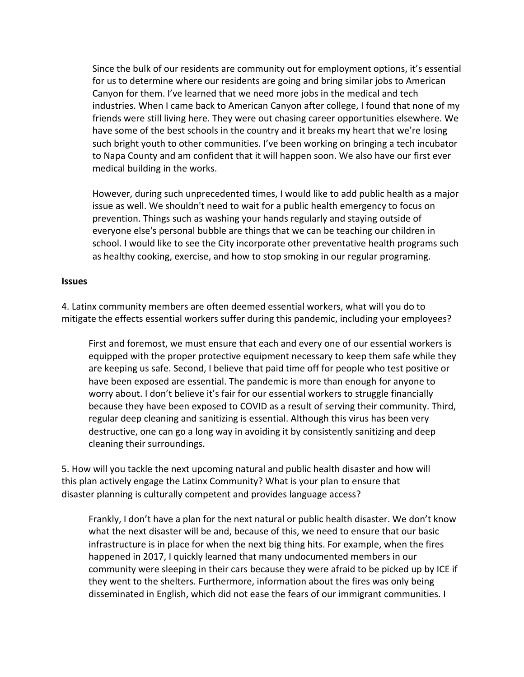Since the bulk of our residents are community out for employment options, it's essential for us to determine where our residents are going and bring similar jobs to American Canyon for them. I've learned that we need more jobs in the medical and tech industries. When I came back to American Canyon after college, I found that none of my friends were still living here. They were out chasing career opportunities elsewhere. We have some of the best schools in the country and it breaks my heart that we're losing such bright youth to other communities. I've been working on bringing a tech incubator to Napa County and am confident that it will happen soon. We also have our first ever medical building in the works.

However, during such unprecedented times, I would like to add public health as a major issue as well. We shouldn't need to wait for a public health emergency to focus on prevention. Things such as washing your hands regularly and staying outside of everyone else's personal bubble are things that we can be teaching our children in school. I would like to see the City incorporate other preventative health programs such as healthy cooking, exercise, and how to stop smoking in our regular programing.

## **Issues**

4. Latinx community members are often deemed essential workers, what will you do to mitigate the effects essential workers suffer during this pandemic, including your employees?

First and foremost, we must ensure that each and every one of our essential workers is equipped with the proper protective equipment necessary to keep them safe while they are keeping us safe. Second, I believe that paid time off for people who test positive or have been exposed are essential. The pandemic is more than enough for anyone to worry about. I don't believe it's fair for our essential workers to struggle financially because they have been exposed to COVID as a result of serving their community. Third, regular deep cleaning and sanitizing is essential. Although this virus has been very destructive, one can go a long way in avoiding it by consistently sanitizing and deep cleaning their surroundings.

5. How will you tackle the next upcoming natural and public health disaster and how will this plan actively engage the Latinx Community? What is your plan to ensure that disaster planning is culturally competent and provides language access?

Frankly, I don't have a plan for the next natural or public health disaster. We don't know what the next disaster will be and, because of this, we need to ensure that our basic infrastructure is in place for when the next big thing hits. For example, when the fires happened in 2017, I quickly learned that many undocumented members in our community were sleeping in their cars because they were afraid to be picked up by ICE if they went to the shelters. Furthermore, information about the fires was only being disseminated in English, which did not ease the fears of our immigrant communities. I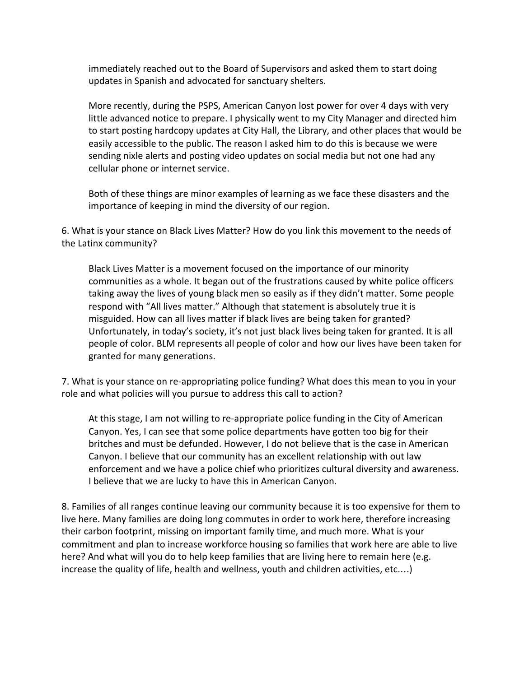immediately reached out to the Board of Supervisors and asked them to start doing updates in Spanish and advocated for sanctuary shelters.

More recently, during the PSPS, American Canyon lost power for over 4 days with very little advanced notice to prepare. I physically went to my City Manager and directed him to start posting hardcopy updates at City Hall, the Library, and other places that would be easily accessible to the public. The reason I asked him to do this is because we were sending nixle alerts and posting video updates on social media but not one had any cellular phone or internet service.

Both of these things are minor examples of learning as we face these disasters and the importance of keeping in mind the diversity of our region.

6. What is your stance on Black Lives Matter? How do you link this movement to the needs of the Latinx community?

Black Lives Matter is a movement focused on the importance of our minority communities as a whole. It began out of the frustrations caused by white police officers taking away the lives of young black men so easily as if they didn't matter. Some people respond with "All lives matter." Although that statement is absolutely true it is misguided. How can all lives matter if black lives are being taken for granted? Unfortunately, in today's society, it's not just black lives being taken for granted. It is all people of color. BLM represents all people of color and how our lives have been taken for granted for many generations.

7. What is your stance on re-appropriating police funding? What does this mean to you in your role and what policies will you pursue to address this call to action?

At this stage, I am not willing to re-appropriate police funding in the City of American Canyon. Yes, I can see that some police departments have gotten too big for their britches and must be defunded. However, I do not believe that is the case in American Canyon. I believe that our community has an excellent relationship with out law enforcement and we have a police chief who prioritizes cultural diversity and awareness. I believe that we are lucky to have this in American Canyon.

8. Families of all ranges continue leaving our community because it is too expensive for them to live here. Many families are doing long commutes in order to work here, therefore increasing their carbon footprint, missing on important family time, and much more. What is your commitment and plan to increase workforce housing so families that work here are able to live here? And what will you do to help keep families that are living here to remain here (e.g. increase the quality of life, health and wellness, youth and children activities, etc.…)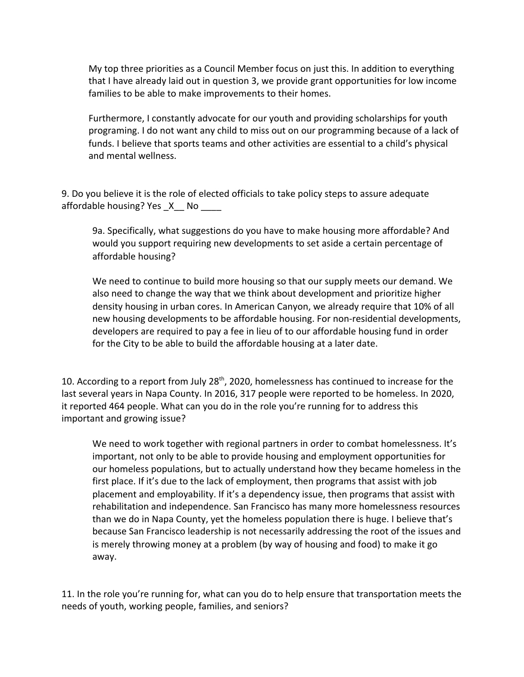My top three priorities as a Council Member focus on just this. In addition to everything that I have already laid out in question 3, we provide grant opportunities for low income families to be able to make improvements to their homes.

Furthermore, I constantly advocate for our youth and providing scholarships for youth programing. I do not want any child to miss out on our programming because of a lack of funds. I believe that sports teams and other activities are essential to a child's physical and mental wellness.

9. Do you believe it is the role of elected officials to take policy steps to assure adequate affordable housing? Yes  $X$  No

9a. Specifically, what suggestions do you have to make housing more affordable? And would you support requiring new developments to set aside a certain percentage of affordable housing?

We need to continue to build more housing so that our supply meets our demand. We also need to change the way that we think about development and prioritize higher density housing in urban cores. In American Canyon, we already require that 10% of all new housing developments to be affordable housing. For non-residential developments, developers are required to pay a fee in lieu of to our affordable housing fund in order for the City to be able to build the affordable housing at a later date.

10. According to a report from July 28<sup>th</sup>, 2020, homelessness has continued to increase for the last several years in Napa County. In 2016, 317 people were reported to be homeless. In 2020, it reported 464 people. What can you do in the role you're running for to address this important and growing issue?

We need to work together with regional partners in order to combat homelessness. It's important, not only to be able to provide housing and employment opportunities for our homeless populations, but to actually understand how they became homeless in the first place. If it's due to the lack of employment, then programs that assist with job placement and employability. If it's a dependency issue, then programs that assist with rehabilitation and independence. San Francisco has many more homelessness resources than we do in Napa County, yet the homeless population there is huge. I believe that's because San Francisco leadership is not necessarily addressing the root of the issues and is merely throwing money at a problem (by way of housing and food) to make it go away.

11. In the role you're running for, what can you do to help ensure that transportation meets the needs of youth, working people, families, and seniors?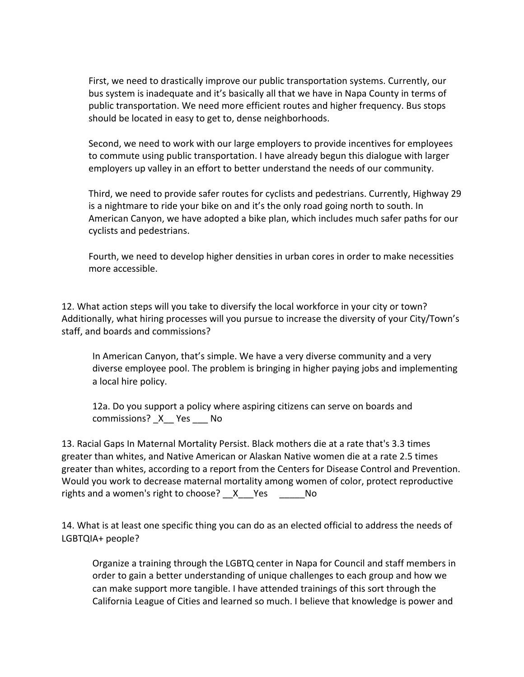First, we need to drastically improve our public transportation systems. Currently, our bus system is inadequate and it's basically all that we have in Napa County in terms of public transportation. We need more efficient routes and higher frequency. Bus stops should be located in easy to get to, dense neighborhoods.

Second, we need to work with our large employers to provide incentives for employees to commute using public transportation. I have already begun this dialogue with larger employers up valley in an effort to better understand the needs of our community.

Third, we need to provide safer routes for cyclists and pedestrians. Currently, Highway 29 is a nightmare to ride your bike on and it's the only road going north to south. In American Canyon, we have adopted a bike plan, which includes much safer paths for our cyclists and pedestrians.

Fourth, we need to develop higher densities in urban cores in order to make necessities more accessible.

12. What action steps will you take to diversify the local workforce in your city or town? Additionally, what hiring processes will you pursue to increase the diversity of your City/Town's staff, and boards and commissions?

In American Canyon, that's simple. We have a very diverse community and a very diverse employee pool. The problem is bringing in higher paying jobs and implementing a local hire policy.

12a. Do you support a policy where aspiring citizens can serve on boards and commissions? X Yes No

13. Racial Gaps In Maternal Mortality Persist. Black mothers die at a rate that's 3.3 times greater than whites, and Native American or Alaskan Native women die at a rate 2.5 times greater than whites, according to a report from the Centers for Disease Control and Prevention. Would you work to decrease maternal mortality among women of color, protect reproductive rights and a women's right to choose? \_\_X\_\_\_Yes \_\_\_\_\_\_No

14. What is at least one specific thing you can do as an elected official to address the needs of LGBTQIA+ people?

Organize a training through the LGBTQ center in Napa for Council and staff members in order to gain a better understanding of unique challenges to each group and how we can make support more tangible. I have attended trainings of this sort through the California League of Cities and learned so much. I believe that knowledge is power and